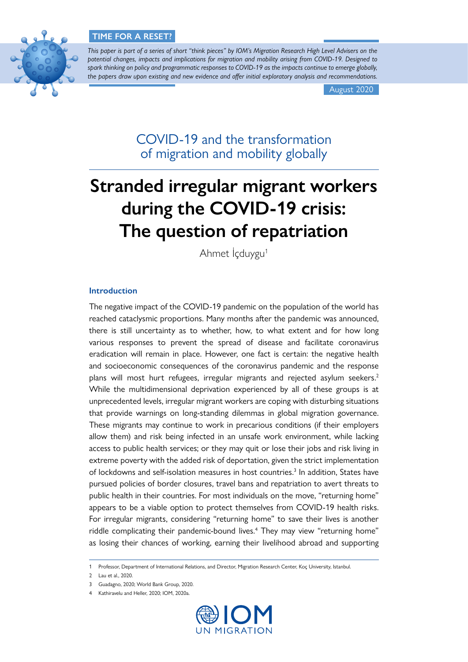# **TIME FOR A RESET?**



*This paper is part of a series of short "think pieces" by IOM's Migration Research High Level Advisers on the potential changes, impacts and implications for migration and mobility arising from COVID-19. Designed to spark thinking on policy and programmatic responses to COVID-19 as the impacts continue to emerge globally, the papers draw upon existing and new evidence and offer initial exploratory analysis and recommendations.*

August 2020

COVID-19 and the transformation of migration and mobility globally

# **Stranded irregular migrant workers during the COVID-19 crisis: The question of repatriation**

Ahmet İcduygu<sup>1</sup>

# **Introduction**

The negative impact of the COVID-19 pandemic on the population of the world has reached cataclysmic proportions. Many months after the pandemic was announced, there is still uncertainty as to whether, how, to what extent and for how long various responses to prevent the spread of disease and facilitate coronavirus eradication will remain in place. However, one fact is certain: the negative health and socioeconomic consequences of the coronavirus pandemic and the response plans will most hurt refugees, irregular migrants and rejected asylum seekers.<sup>2</sup> While the multidimensional deprivation experienced by all of these groups is at unprecedented levels, irregular migrant workers are coping with disturbing situations that provide warnings on long-standing dilemmas in global migration governance. These migrants may continue to work in precarious conditions (if their employers allow them) and risk being infected in an unsafe work environment, while lacking access to public health services; or they may quit or lose their jobs and risk living in extreme poverty with the added risk of deportation, given the strict implementation of lockdowns and self-isolation measures in host countries.<sup>3</sup> In addition, States have pursued policies of border closures, travel bans and repatriation to avert threats to public health in their countries. For most individuals on the move, "returning home" appears to be a viable option to protect themselves from COVID-19 health risks. For irregular migrants, considering "returning home" to save their lives is another riddle complicating their pandemic-bound lives.4 They may view "returning home" as losing their chances of working, earning their livelihood abroad and supporting

<sup>4</sup> Kathiravelu and Heller, 2020; IOM, 2020a.



<sup>1</sup> Professor, Department of International Relations, and Director, Migration Research Center, Koç University, Istanbul.

<sup>2</sup> Lau et al., 2020.

<sup>3</sup> Guadagno, 2020; World Bank Group, 2020.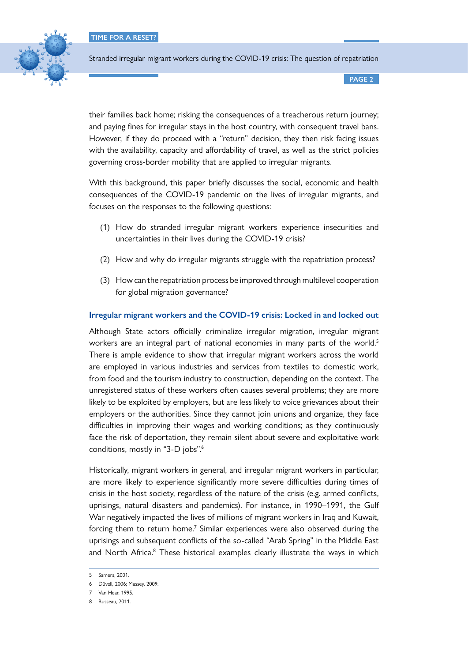**TIME FOR A RESET?**



Stranded irregular migrant workers during the COVID-19 crisis: The question of repatriation

**PAGE 2**

their families back home; risking the consequences of a treacherous return journey; and paying fines for irregular stays in the host country, with consequent travel bans. However, if they do proceed with a "return" decision, they then risk facing issues with the availability, capacity and affordability of travel, as well as the strict policies governing cross-border mobility that are applied to irregular migrants.

With this background, this paper briefly discusses the social, economic and health consequences of the COVID-19 pandemic on the lives of irregular migrants, and focuses on the responses to the following questions:

- (1) How do stranded irregular migrant workers experience insecurities and uncertainties in their lives during the COVID-19 crisis?
- (2) How and why do irregular migrants struggle with the repatriation process?
- (3) How can the repatriation process be improved through multilevel cooperation for global migration governance?

# **Irregular migrant workers and the COVID-19 crisis: Locked in and locked out**

Although State actors officially criminalize irregular migration, irregular migrant workers are an integral part of national economies in many parts of the world.<sup>5</sup> There is ample evidence to show that irregular migrant workers across the world are employed in various industries and services from textiles to domestic work, from food and the tourism industry to construction, depending on the context. The unregistered status of these workers often causes several problems; they are more likely to be exploited by employers, but are less likely to voice grievances about their employers or the authorities. Since they cannot join unions and organize, they face difficulties in improving their wages and working conditions; as they continuously face the risk of deportation, they remain silent about severe and exploitative work conditions, mostly in "3-D jobs".6

Historically, migrant workers in general, and irregular migrant workers in particular, are more likely to experience significantly more severe difficulties during times of crisis in the host society, regardless of the nature of the crisis (e.g. armed conflicts, uprisings, natural disasters and pandemics). For instance, in 1990–1991, the Gulf War negatively impacted the lives of millions of migrant workers in Iraq and Kuwait, forcing them to return home.<sup>7</sup> Similar experiences were also observed during the uprisings and subsequent conflicts of the so-called "Arab Spring" in the Middle East and North Africa.<sup>8</sup> These historical examples clearly illustrate the ways in which

<sup>5</sup> Samers, 2001.

<sup>6</sup> Düvell, 2006; Massey, 2009.

<sup>7</sup> Van Hear, 1995.

<sup>8</sup> Russeau, 2011.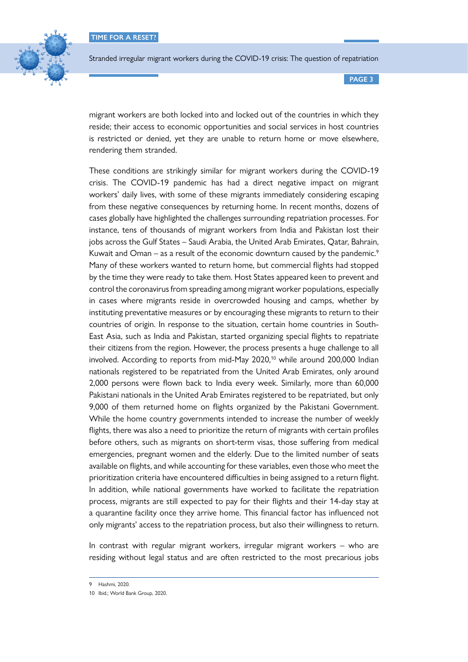

**PAGE 3**

migrant workers are both locked into and locked out of the countries in which they reside; their access to economic opportunities and social services in host countries is restricted or denied, yet they are unable to return home or move elsewhere, rendering them stranded.

These conditions are strikingly similar for migrant workers during the COVID-19 crisis. The COVID-19 pandemic has had a direct negative impact on migrant workers' daily lives, with some of these migrants immediately considering escaping from these negative consequences by returning home. In recent months, dozens of cases globally have highlighted the challenges surrounding repatriation processes. For instance, tens of thousands of migrant workers from India and Pakistan lost their jobs across the Gulf States – Saudi Arabia, the United Arab Emirates, Qatar, Bahrain, Kuwait and Oman – as a result of the economic downturn caused by the pandemic.<sup>9</sup> Many of these workers wanted to return home, but commercial flights had stopped by the time they were ready to take them. Host States appeared keen to prevent and control the coronavirus from spreading among migrant worker populations, especially in cases where migrants reside in overcrowded housing and camps, whether by instituting preventative measures or by encouraging these migrants to return to their countries of origin. In response to the situation, certain home countries in South-East Asia, such as India and Pakistan, started organizing special flights to repatriate their citizens from the region. However, the process presents a huge challenge to all involved. According to reports from mid-May 2020,<sup>10</sup> while around 200,000 Indian nationals registered to be repatriated from the United Arab Emirates, only around 2,000 persons were flown back to India every week. Similarly, more than 60,000 Pakistani nationals in the United Arab Emirates registered to be repatriated, but only 9,000 of them returned home on flights organized by the Pakistani Government. While the home country governments intended to increase the number of weekly flights, there was also a need to prioritize the return of migrants with certain profiles before others, such as migrants on short-term visas, those suffering from medical emergencies, pregnant women and the elderly. Due to the limited number of seats available on flights, and while accounting for these variables, even those who meet the prioritization criteria have encountered difficulties in being assigned to a return flight. In addition, while national governments have worked to facilitate the repatriation process, migrants are still expected to pay for their flights and their 14-day stay at a quarantine facility once they arrive home. This financial factor has influenced not only migrants' access to the repatriation process, but also their willingness to return.

In contrast with regular migrant workers, irregular migrant workers – who are residing without legal status and are often restricted to the most precarious jobs

<sup>9</sup> Hashmi, 2020.

<sup>10</sup> Ibid.; World Bank Group, 2020.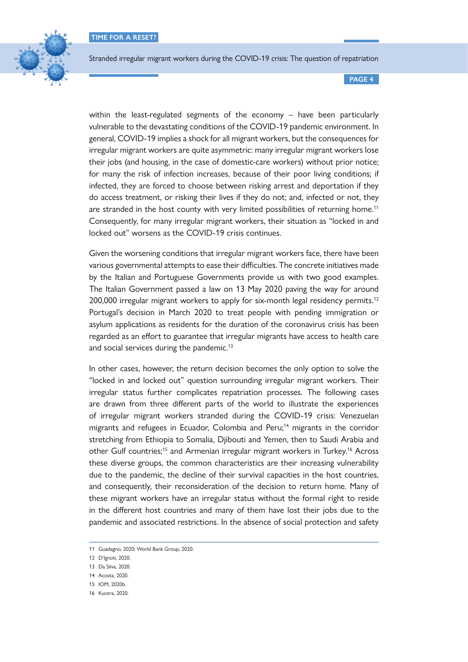

**PAGE 4**

within the least-regulated segments of the economy – have been particularly vulnerable to the devastating conditions of the COVID-19 pandemic environment. In general, COVID-19 implies a shock for all migrant workers, but the consequences for irregular migrant workers are quite asymmetric: many irregular migrant workers lose their jobs (and housing, in the case of domestic-care workers) without prior notice; for many the risk of infection increases, because of their poor living conditions; if infected, they are forced to choose between risking arrest and deportation if they do access treatment, or risking their lives if they do not; and, infected or not, they are stranded in the host county with very limited possibilities of returning home.<sup>11</sup> Consequently, for many irregular migrant workers, their situation as "locked in and locked out" worsens as the COVID-19 crisis continues.

Given the worsening conditions that irregular migrant workers face, there have been various governmental attempts to ease their difficulties. The concrete initiatives made by the Italian and Portuguese Governments provide us with two good examples. The Italian Government passed a law on 13 May 2020 paving the way for around 200,000 irregular migrant workers to apply for six-month legal residency permits.<sup>12</sup> Portugal's decision in March 2020 to treat people with pending immigration or asylum applications as residents for the duration of the coronavirus crisis has been regarded as an effort to guarantee that irregular migrants have access to health care and social services during the pandemic.<sup>13</sup>

In other cases, however, the return decision becomes the only option to solve the "locked in and locked out" question surrounding irregular migrant workers. Their irregular status further complicates repatriation processes. The following cases are drawn from three different parts of the world to illustrate the experiences of irregular migrant workers stranded during the COVID-19 crisis: Venezuelan migrants and refugees in Ecuador, Colombia and Peru;14 migrants in the corridor stretching from Ethiopia to Somalia, Djibouti and Yemen, then to Saudi Arabia and other Gulf countries;<sup>15</sup> and Armenian irregular migrant workers in Turkey.<sup>16</sup> Across these diverse groups, the common characteristics are their increasing vulnerability due to the pandemic, the decline of their survival capacities in the host countries, and consequently, their reconsideration of the decision to return home. Many of these migrant workers have an irregular status without the formal right to reside in the different host countries and many of them have lost their jobs due to the pandemic and associated restrictions. In the absence of social protection and safety

<sup>11</sup> Guadagno, 2020; World Bank Group, 2020.

<sup>12</sup> D'Ignoti, 2020.

<sup>13</sup> Da Silva, 2020.

<sup>14</sup> Acosta, 2020.

<sup>15</sup> IOM, 2020b.

<sup>16</sup> Kucera, 2020.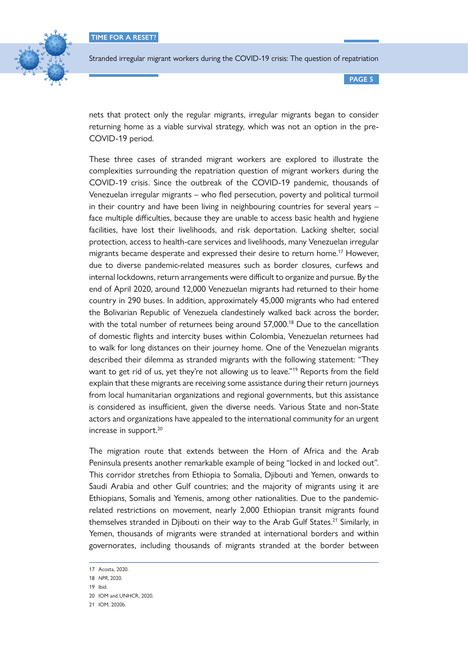

**PAGE 5**

nets that protect only the regular migrants, irregular migrants began to consider returning home as a viable survival strategy, which was not an option in the pre-COVID-19 period.

These three cases of stranded migrant workers are explored to illustrate the complexities surrounding the repatriation question of migrant workers during the COVID-19 crisis. Since the outbreak of the COVID-19 pandemic, thousands of Venezuelan irregular migrants – who fled persecution, poverty and political turmoil in their country and have been living in neighbouring countries for several years – face multiple difficulties, because they are unable to access basic health and hygiene facilities, have lost their livelihoods, and risk deportation. Lacking shelter, social protection, access to health-care services and livelihoods, many Venezuelan irregular migrants became desperate and expressed their desire to return home.<sup>17</sup> However, due to diverse pandemic-related measures such as border closures, curfews and internal lockdowns, return arrangements were difficult to organize and pursue. By the end of April 2020, around 12,000 Venezuelan migrants had returned to their home country in 290 buses. In addition, approximately 45,000 migrants who had entered the Bolivarian Republic of Venezuela clandestinely walked back across the border, with the total number of returnees being around 57,000.<sup>18</sup> Due to the cancellation of domestic flights and intercity buses within Colombia, Venezuelan returnees had to walk for long distances on their journey home. One of the Venezuelan migrants described their dilemma as stranded migrants with the following statement: "They want to get rid of us, yet they're not allowing us to leave."<sup>19</sup> Reports from the field explain that these migrants are receiving some assistance during their return journeys from local humanitarian organizations and regional governments, but this assistance is considered as insufficient, given the diverse needs. Various State and non-State actors and organizations have appealed to the international community for an urgent increase in support.<sup>20</sup>

The migration route that extends between the Horn of Africa and the Arab Peninsula presents another remarkable example of being "locked in and locked out". This corridor stretches from Ethiopia to Somalia, Djibouti and Yemen, onwards to Saudi Arabia and other Gulf countries; and the majority of migrants using it are Ethiopians, Somalis and Yemenis, among other nationalities. Due to the pandemicrelated restrictions on movement, nearly 2,000 Ethiopian transit migrants found themselves stranded in Djibouti on their way to the Arab Gulf States.<sup>21</sup> Similarly, in Yemen, thousands of migrants were stranded at international borders and within governorates, including thousands of migrants stranded at the border between

<sup>17</sup> Acosta, 2020.

<sup>18</sup> *NPR*, 2020.

<sup>19</sup> Ibid.

<sup>20</sup> IOM and UNHCR, 2020.

<sup>21</sup> IOM, 2020b.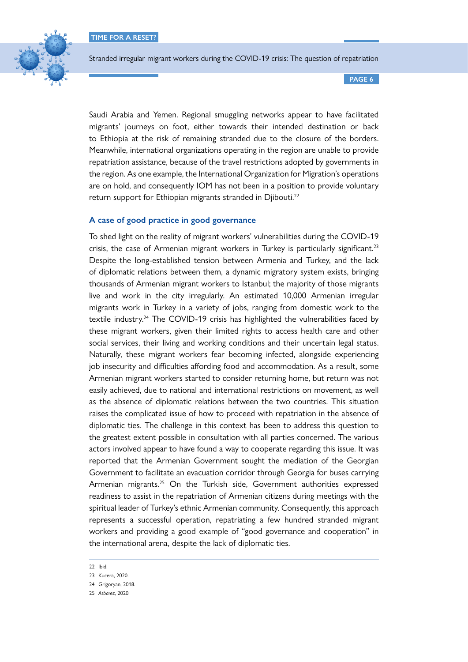**TIME FOR A RESET?**



Stranded irregular migrant workers during the COVID-19 crisis: The question of repatriation

**PAGE 6**

Saudi Arabia and Yemen. Regional smuggling networks appear to have facilitated migrants' journeys on foot, either towards their intended destination or back to Ethiopia at the risk of remaining stranded due to the closure of the borders. Meanwhile, international organizations operating in the region are unable to provide repatriation assistance, because of the travel restrictions adopted by governments in the region. As one example, the International Organization for Migration's operations are on hold, and consequently IOM has not been in a position to provide voluntary return support for Ethiopian migrants stranded in Djibouti.<sup>22</sup>

# **A case of good practice in good governance**

To shed light on the reality of migrant workers' vulnerabilities during the COVID-19 crisis, the case of Armenian migrant workers in Turkey is particularly significant.<sup>23</sup> Despite the long-established tension between Armenia and Turkey, and the lack of diplomatic relations between them, a dynamic migratory system exists, bringing thousands of Armenian migrant workers to Istanbul; the majority of those migrants live and work in the city irregularly. An estimated 10,000 Armenian irregular migrants work in Turkey in a variety of jobs, ranging from domestic work to the textile industry.<sup>24</sup> The COVID-19 crisis has highlighted the vulnerabilities faced by these migrant workers, given their limited rights to access health care and other social services, their living and working conditions and their uncertain legal status. Naturally, these migrant workers fear becoming infected, alongside experiencing job insecurity and difficulties affording food and accommodation. As a result, some Armenian migrant workers started to consider returning home, but return was not easily achieved, due to national and international restrictions on movement, as well as the absence of diplomatic relations between the two countries. This situation raises the complicated issue of how to proceed with repatriation in the absence of diplomatic ties. The challenge in this context has been to address this question to the greatest extent possible in consultation with all parties concerned. The various actors involved appear to have found a way to cooperate regarding this issue. It was reported that the Armenian Government sought the mediation of the Georgian Government to facilitate an evacuation corridor through Georgia for buses carrying Armenian migrants.<sup>25</sup> On the Turkish side, Government authorities expressed readiness to assist in the repatriation of Armenian citizens during meetings with the spiritual leader of Turkey's ethnic Armenian community. Consequently, this approach represents a successful operation, repatriating a few hundred stranded migrant workers and providing a good example of "good governance and cooperation" in the international arena, despite the lack of diplomatic ties.

<sup>22</sup> Ibid.

<sup>23</sup> Kucera, 2020.

<sup>24</sup> Grigoryan, 2018.

<sup>25</sup> *Asbarez*, 2020.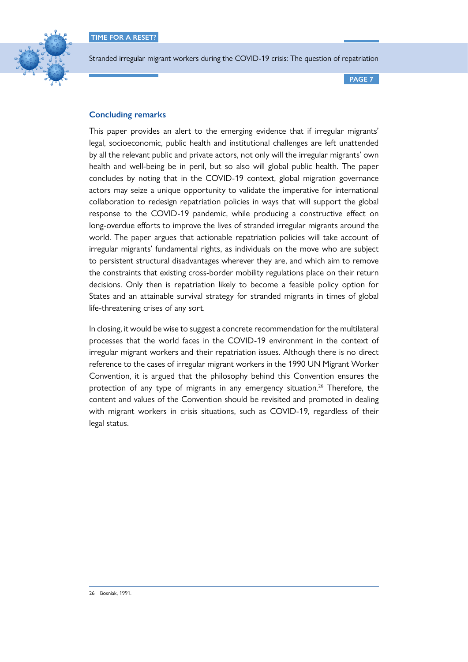

**PAGE 7**

# **Concluding remarks**

This paper provides an alert to the emerging evidence that if irregular migrants' legal, socioeconomic, public health and institutional challenges are left unattended by all the relevant public and private actors, not only will the irregular migrants' own health and well-being be in peril, but so also will global public health. The paper concludes by noting that in the COVID-19 context, global migration governance actors may seize a unique opportunity to validate the imperative for international collaboration to redesign repatriation policies in ways that will support the global response to the COVID-19 pandemic, while producing a constructive effect on long-overdue efforts to improve the lives of stranded irregular migrants around the world. The paper argues that actionable repatriation policies will take account of irregular migrants' fundamental rights, as individuals on the move who are subject to persistent structural disadvantages wherever they are, and which aim to remove the constraints that existing cross-border mobility regulations place on their return decisions. Only then is repatriation likely to become a feasible policy option for States and an attainable survival strategy for stranded migrants in times of global life-threatening crises of any sort.

In closing, it would be wise to suggest a concrete recommendation for the multilateral processes that the world faces in the COVID-19 environment in the context of irregular migrant workers and their repatriation issues. Although there is no direct reference to the cases of irregular migrant workers in the 1990 UN Migrant Worker Convention, it is argued that the philosophy behind this Convention ensures the protection of any type of migrants in any emergency situation.<sup>26</sup> Therefore, the content and values of the Convention should be revisited and promoted in dealing with migrant workers in crisis situations, such as COVID-19, regardless of their legal status.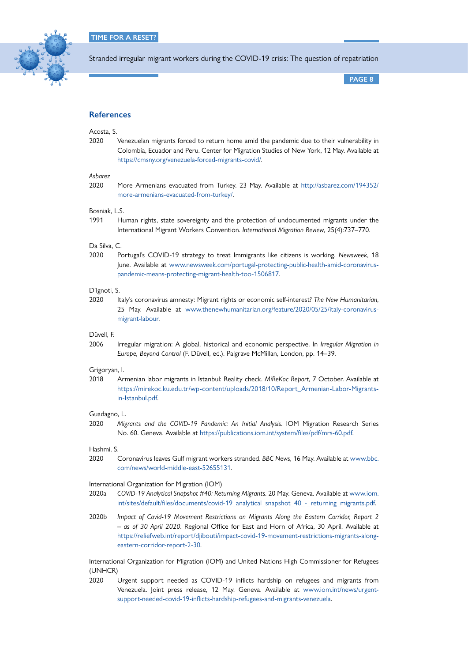

**PAGE 8**

# **References**

# Acosta, S.

2020 Venezuelan migrants forced to return home amid the pandemic due to their vulnerability in Colombia, Ecuador and Peru. Center for Migration Studies of New York, 12 May. Available at <https://cmsny.org/venezuela-forced-migrants-covid/>.

## *Asbarez*

2020 More Armenians evacuated from Turkey. 23 May. Available at [http://asbarez.com/194352/](http://asbarez.com/194352/more-armenians-evacuated-from-turkey/) [more-armenians-evacuated-from-turkey/](http://asbarez.com/194352/more-armenians-evacuated-from-turkey/).

#### Bosniak, L.S.

1991 Human rights, state sovereignty and the protection of undocumented migrants under the International Migrant Workers Convention. *International Migration Review*, 25(4):737–770.

# Da Silva, C.

2020 Portugal's COVID-19 strategy to treat Immigrants like citizens is working. *Newsweek*, 18 June. Available at [www.newsweek.com/portugal-protecting-public-health-amid-coronavirus](http://www.newsweek.com/portugal-protecting-public-health-amid-coronavirus-pandemic-means-protecting-migrant-health-too-1506817)[pandemic-means-protecting-migrant-health-too-1506817.](http://www.newsweek.com/portugal-protecting-public-health-amid-coronavirus-pandemic-means-protecting-migrant-health-too-1506817)

#### D'Ignoti, S.

2020 Italy's coronavirus amnesty: Migrant rights or economic self-interest? *The New Humanitarian*, 25 May. Available at [www.thenewhumanitarian.org/feature/2020/05/25/italy-coronavirus](http://www.thenewhumanitarian.org/feature/2020/05/25/italy-coronavirus-migrant-labour)[migrant-labour.](http://www.thenewhumanitarian.org/feature/2020/05/25/italy-coronavirus-migrant-labour)

## Düvell, F.

2006 Irregular migration: A global, historical and economic perspective. In *Irregular Migration in Europe, Beyond Control* (F. Düvell, ed.). Palgrave McMillan, London, pp. 14–39.

#### Grigoryan, I.

2018 Armenian labor migrants in Istanbul: Reality check. *MiReKoc Report*, 7 October. Available at [https://mirekoc.ku.edu.tr/wp-content/uploads/2018/10/Report\\_Armenian-Labor-Migrants](https://mirekoc.ku.edu.tr/wp-content/uploads/2018/10/Report_Armenian-Labor-Migrants-in-Istanbul.pdf)[in-Istanbul.pdf.](https://mirekoc.ku.edu.tr/wp-content/uploads/2018/10/Report_Armenian-Labor-Migrants-in-Istanbul.pdf)

# Guadagno, L.

2020 *Migrants and the COVID-19 Pandemic: An Initial Analysis*. IOM Migration Research Series No. 60. Geneva. Available at<https://publications.iom.int/system/files/pdf/mrs-60.pdf>.

#### Hashmi, S.

2020 Coronavirus leaves Gulf migrant workers stranded. *BBC News*, 16 May. Available at [www.bbc.](http://www.bbc.com/news/world-middle-east-52655131) [com/news/world-middle-east-52655131.](http://www.bbc.com/news/world-middle-east-52655131)

#### International Organization for Migration (IOM)

- 2020a *COVID-19 Analytical Snapshot #40: Returning Migrants*. 20 May. Geneva. Available at [www.iom.](http://www.iom.int/sites/default/files/documents/covid-19_analytical_snapshot_40_-_returning_migrants.pdf) [int/sites/default/files/documents/covid-19\\_analytical\\_snapshot\\_40\\_-\\_returning\\_migrants.pdf](http://www.iom.int/sites/default/files/documents/covid-19_analytical_snapshot_40_-_returning_migrants.pdf).
- 2020b *Impact of Covid-19 Movement Restrictions on Migrants Along the Eastern Corridor, Report 2 – as of 30 April 2020*. Regional Office for East and Horn of Africa, 30 April. Available at [https://reliefweb.int/report/djibouti/impact-covid-19-movement-restrictions-migrants-along](https://reliefweb.int/report/djibouti/impact-covid-19-movement-restrictions-migrants-along-eastern-corridor-report-2-30)[eastern-corridor-report-2-30.](https://reliefweb.int/report/djibouti/impact-covid-19-movement-restrictions-migrants-along-eastern-corridor-report-2-30)

International Organization for Migration (IOM) and United Nations High Commissioner for Refugees (UNHCR)

2020 Urgent support needed as COVID-19 inflicts hardship on refugees and migrants from Venezuela. Joint press release, 12 May. Geneva. Available at [www.iom.int/news/urgent](http://www.iom.int/news/urgent-support-needed-covid-19-inflicts-hardship-refugees-and-migrants-venezuela)[support-needed-covid-19-inflicts-hardship-refugees-and-migrants-venezuela](http://www.iom.int/news/urgent-support-needed-covid-19-inflicts-hardship-refugees-and-migrants-venezuela).